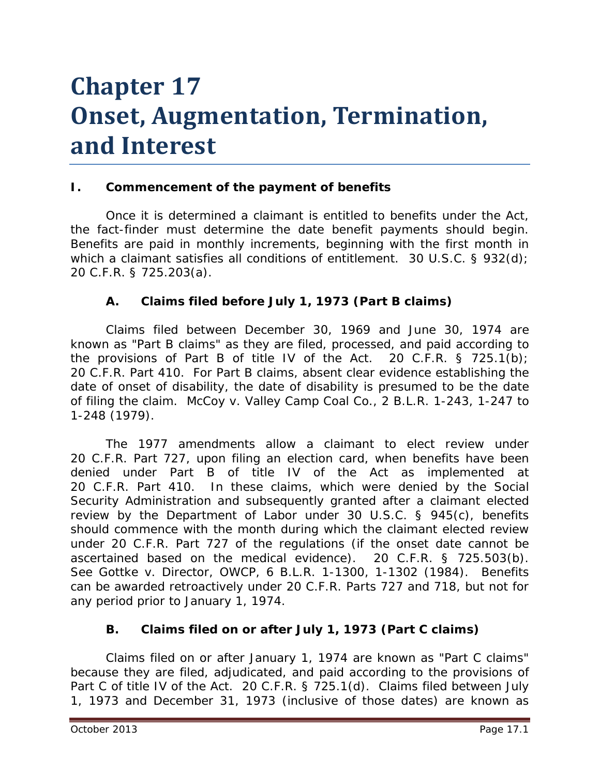# **Chapter 17 Onset, Augmentation, Termination, and Interest**

#### **I. Commencement of the payment of benefits**

Once it is determined a claimant is entitled to benefits under the Act, the fact-finder must determine the date benefit payments should begin. Benefits are paid in monthly increments, beginning with the first month in which a claimant satisfies all conditions of entitlement. 30 U.S.C. § 932(d); 20 C.F.R. § 725.203(a).

## **A. Claims filed before July 1, 1973 (Part B claims)**

Claims filed between December 30, 1969 and June 30, 1974 are known as "Part B claims" as they are filed, processed, and paid according to the provisions of Part B of title IV of the Act. 20 C.F.R.  $\S$  725.1(b); 20 C.F.R. Part 410. For Part B claims, absent clear evidence establishing the date of onset of disability, the date of disability is presumed to be the date of filing the claim. *McCoy v. Valley Camp Coal Co.*, 2 B.L.R. 1-243, 1-247 to 1-248 (1979).

The 1977 amendments allow a claimant to elect review under 20 C.F.R. Part 727, upon filing an election card, when benefits have been denied under Part B of title IV of the Act as implemented at 20 C.F.R. Part 410. In these claims, which were denied by the Social Security Administration and subsequently granted after a claimant elected review by the Department of Labor under 30 U.S.C. § 945(c), benefits should commence with the month during which the claimant elected review under 20 C.F.R. Part 727 of the regulations (if the onset date cannot be ascertained based on the medical evidence). 20 C.F.R. § 725.503(b). *See Gottke v. Director, OWCP*, 6 B.L.R. 1-1300, 1-1302 (1984). Benefits can be awarded retroactively under 20 C.F.R. Parts 727 and 718, but not for any period prior to January 1, 1974.

## **B. Claims filed on or after July 1, 1973 (Part C claims)**

Claims filed on or after January 1, 1974 are known as "Part C claims" because they are filed, adjudicated, and paid according to the provisions of Part C of title IV of the Act. 20 C.F.R. § 725.1(d). Claims filed between July 1, 1973 and December 31, 1973 (inclusive of those dates) are known as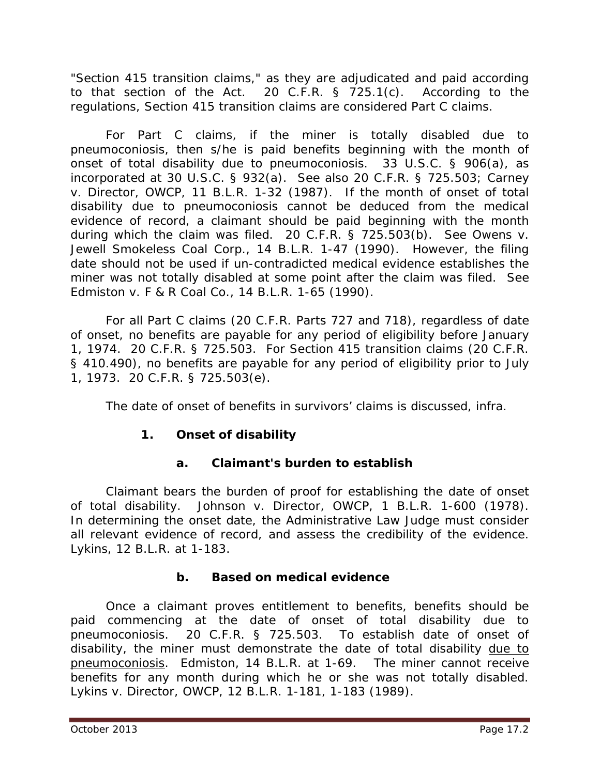"Section 415 transition claims," as they are adjudicated and paid according to that section of the Act. 20 C.F.R. § 725.1(c). According to the regulations, Section 415 transition claims are considered Part C claims.

For Part C claims, if the miner is totally disabled due to pneumoconiosis, then s/he is paid benefits beginning with the month of onset of total disability due to pneumoconiosis. 33 U.S.C. § 906(a), as incorporated at 30 U.S.C. § 932(a). *See also* 20 C.F.R. § 725.503; *Carney v. Director, OWCP*, 11 B.L.R. 1-32 (1987). If the month of onset of total disability due to pneumoconiosis cannot be deduced from the medical evidence of record, a claimant should be paid beginning with the month during which the claim was filed. 20 C.F.R. § 725.503(b). *See Owens v. Jewell Smokeless Coal Corp.*, 14 B.L.R. 1-47 (1990). However, the filing date should not be used if un-contradicted medical evidence establishes the miner was not totally disabled at some point after the claim was filed. *See Edmiston v. F & R Coal Co.*, 14 B.L.R. 1-65 (1990).

For all Part C claims (20 C.F.R. Parts 727 and 718), regardless of date of onset, no benefits are payable for any period of eligibility before January 1, 1974. 20 C.F.R. § 725.503. For Section 415 transition claims (20 C.F.R. § 410.490), no benefits are payable for any period of eligibility prior to July 1, 1973. 20 C.F.R. § 725.503(e).

The date of onset of benefits in survivors' claims is discussed, *infra*.

# **1. Onset of disability**

# **a. Claimant's burden to establish**

Claimant bears the burden of proof for establishing the date of onset of total disability. *Johnson v. Director, OWCP*, 1 B.L.R. 1-600 (1978). In determining the onset date, the Administrative Law Judge must consider all relevant evidence of record, and assess the credibility of the evidence. *Lykins*, 12 B.L.R. at 1-183.

# **b. Based on medical evidence**

Once a claimant proves entitlement to benefits, benefits should be paid commencing at the date of onset of total disability due to pneumoconiosis. 20 C.F.R. § 725.503. To establish date of onset of disability, the miner must demonstrate the date of total disability due to pneumoconiosis. *Edmiston*, 14 B.L.R. at 1-69. The miner cannot receive benefits for any month during which he or she was not totally disabled. *Lykins v. Director, OWCP*, 12 B.L.R. 1-181, 1-183 (1989).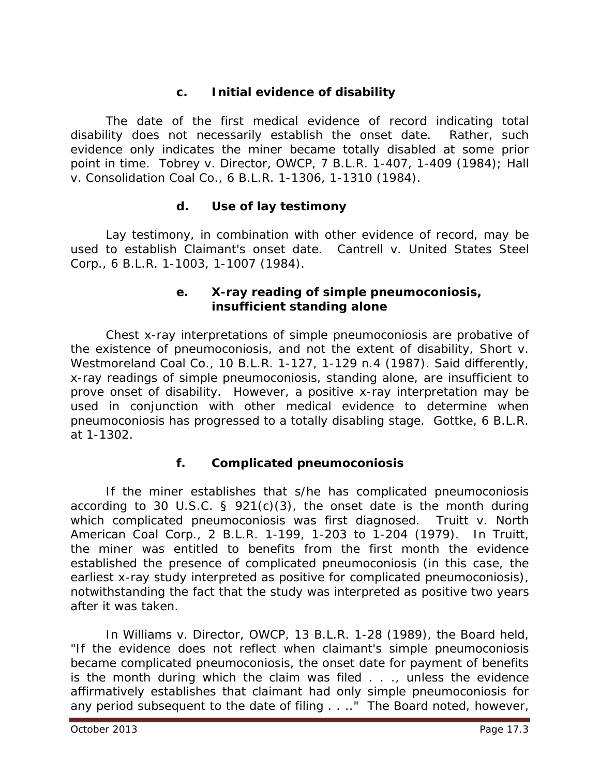## **c. Initial evidence of disability**

The date of the first medical evidence of record indicating total disability does not necessarily establish the onset date. Rather, such evidence only indicates the miner became totally disabled at some prior point in time. *Tobrey v. Director, OWCP*, 7 B.L.R. 1-407, 1-409 (1984); *Hall v. Consolidation Coal Co.*, 6 B.L.R. 1-1306, 1-1310 (1984).

#### **d. Use of lay testimony**

Lay testimony, in combination with other evidence of record, may be used to establish Claimant's onset date. *Cantrell v. United States Steel Corp.*, 6 B.L.R. 1-1003, 1-1007 (1984).

#### **e. X-ray reading of simple pneumoconiosis, insufficient standing alone**

Chest x-ray interpretations of simple pneumoconiosis are probative of the existence of pneumoconiosis, and not the extent of disability, *Short v. Westmoreland Coal Co.*, 10 B.L.R. 1-127, 1-129 n.4 (1987). Said differently, x-ray readings of simple pneumoconiosis, standing alone, are insufficient to prove onset of disability. However, a positive x-ray interpretation may be used in conjunction with other medical evidence to determine when pneumoconiosis has progressed to a totally disabling stage. *Gottke*, 6 B.L.R. at 1-1302.

#### **f. Complicated pneumoconiosis**

If the miner establishes that s/he has complicated pneumoconiosis according to 30 U.S.C.  $\S$  921(c)(3), the onset date is the month during which complicated pneumoconiosis was first diagnosed. *Truitt v. North American Coal Corp.*, 2 B.L.R. 1-199, 1-203 to 1-204 (1979). In *Truitt,*  the miner was entitled to benefits from the first month the evidence established the presence of complicated pneumoconiosis (in this case, the earliest x-ray study interpreted as positive for complicated pneumoconiosis), notwithstanding the fact that the study was interpreted as positive two years after it was taken.

In *Williams v. Director, OWCP*, 13 B.L.R. 1-28 (1989), the Board held, "If the evidence does not reflect when claimant's simple pneumoconiosis became complicated pneumoconiosis, the onset date for payment of benefits is the month during which the claim was filed  $\ldots$ , unless the evidence affirmatively establishes that claimant had only simple pneumoconiosis for any period subsequent to the date of filing . . .." The Board noted, however,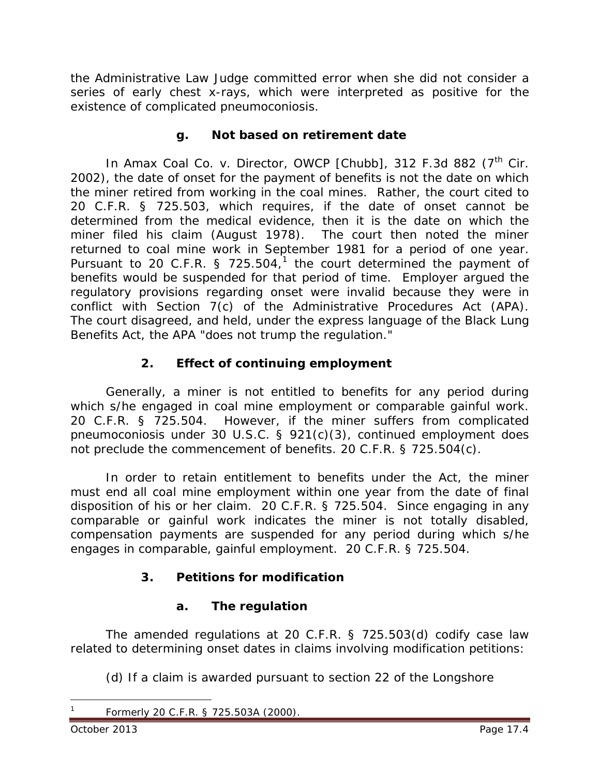the Administrative Law Judge committed error when she did not consider a series of early chest x-rays, which were interpreted as positive for the existence of complicated pneumoconiosis.

#### **g. Not based on retirement date**

In *Amax Coal Co. v. Director, OWCP [Chubb]*, 312 F.3d 882 (7<sup>th</sup> Cir. 2002), the date of onset for the payment of benefits is not the date on which the miner retired from working in the coal mines. Rather, the court cited to 20 C.F.R. § 725.503, which requires, if the date of onset cannot be determined from the medical evidence, then it is the date on which the miner filed his claim (August 1978). The court then noted the miner returned to coal mine work in September 1981 for a period of one year. Pursuant to 20 C.F.R. § 725.504, $1$  the court determined the payment of benefits would be suspended for that period of time. Employer argued the regulatory provisions regarding onset were invalid because they were in conflict with Section 7(c) of the Administrative Procedures Act (APA). The court disagreed, and held, under the express language of the Black Lung Benefits Act, the APA "does not trump the regulation."

## **2. Effect of continuing employment**

Generally, a miner is not entitled to benefits for any period during which s/he engaged in coal mine employment or comparable gainful work. 20 C.F.R. § 725.504. However, if the miner suffers from complicated pneumoconiosis under 30 U.S.C. § 921(c)(3), continued employment does not preclude the commencement of benefits. 20 C.F.R. § 725.504(c).

In order to retain entitlement to benefits under the Act, the miner must end all coal mine employment within one year from the date of final disposition of his or her claim. 20 C.F.R. § 725.504. Since engaging in any comparable or gainful work indicates the miner is not totally disabled, compensation payments are suspended for any period during which s/he engages in comparable, gainful employment. 20 C.F.R. § 725.504.

# **3. Petitions for modification**

## **a. The regulation**

The amended regulations at 20 C.F.R. § 725.503(d) codify case law related to determining onset dates in claims involving modification petitions:

(d) If a claim is awarded pursuant to section 22 of the Longshore

<span id="page-3-0"></span> $\overline{a}$ 

<sup>1</sup> Formerly 20 C.F.R. § 725.503A (2000).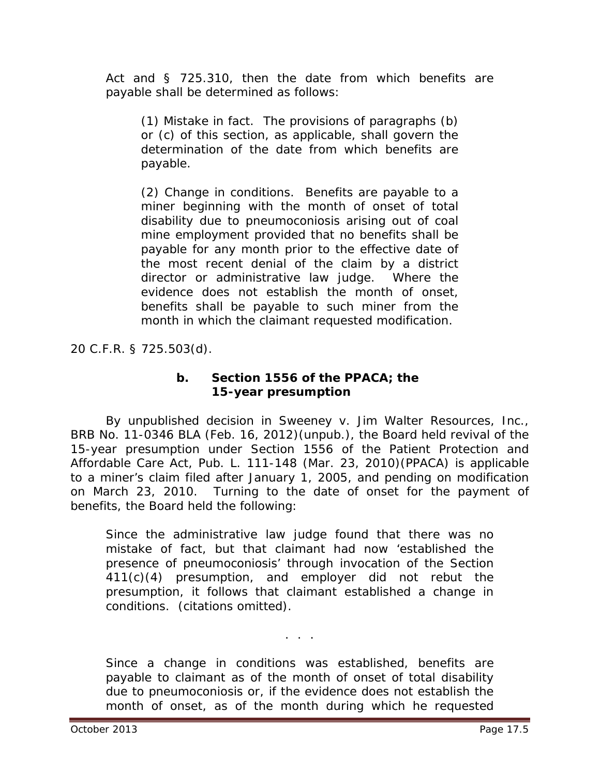Act and § 725.310, then the date from which benefits are payable shall be determined as follows:

(1) Mistake in fact. The provisions of paragraphs (b) or (c) of this section, as applicable, shall govern the determination of the date from which benefits are payable.

(2) Change in conditions. Benefits are payable to a miner beginning with the month of onset of total disability due to pneumoconiosis arising out of coal mine employment provided that no benefits shall be payable for any month prior to the effective date of the most recent denial of the claim by a district director or administrative law judge. Where the evidence does not establish the month of onset, benefits shall be payable to such miner from the month in which the claimant requested modification.

20 C.F.R. § 725.503(d).

#### **b. Section 1556 of the PPACA; the 15-year presumption**

By unpublished decision in *Sweeney v. Jim Walter Resources, Inc.*, BRB No. 11-0346 BLA (Feb. 16, 2012)(unpub.), the Board held revival of the 15-year presumption under Section 1556 of the Patient Protection and Affordable Care Act, Pub. L. 111-148 (Mar. 23, 2010)(PPACA) is applicable to a miner's claim filed after January 1, 2005, and pending on modification on March 23, 2010. Turning to the date of onset for the payment of benefits, the Board held the following:

Since the administrative law judge found that there was no mistake of fact, but that claimant had now 'established the presence of pneumoconiosis' through invocation of the Section 411(c)(4) presumption, and employer did not rebut the presumption, it follows that claimant established a change in conditions. (citations omitted).

Since a change in conditions was established, benefits are payable to claimant as of the month of onset of total disability due to pneumoconiosis or, if the evidence does not establish the month of onset, as of the month during which he requested

. . .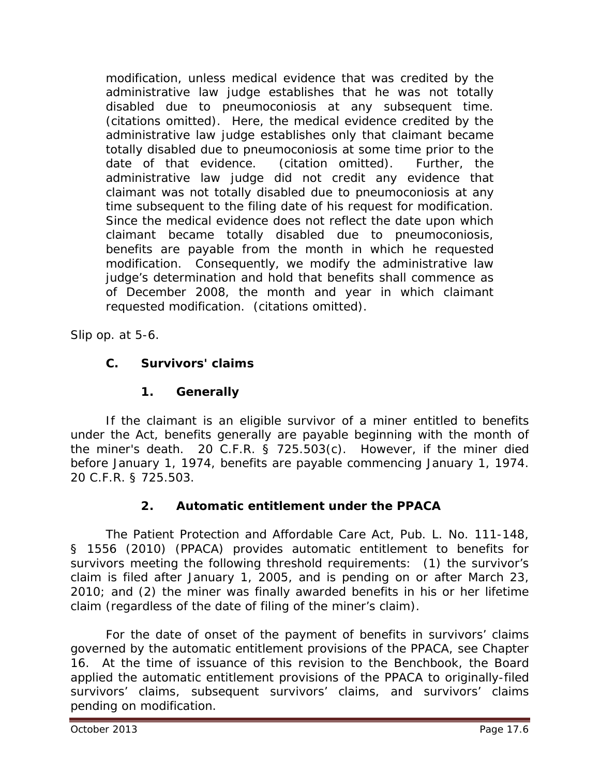modification, unless medical evidence that was credited by the administrative law judge establishes that he was not totally disabled due to pneumoconiosis at any subsequent time. (citations omitted). Here, the medical evidence credited by the administrative law judge establishes only that claimant became totally disabled due to pneumoconiosis at some time prior to the date of that evidence. (citation omitted). Further, the administrative law judge did not credit any evidence that claimant was not totally disabled due to pneumoconiosis at any time subsequent to the filing date of his request for modification. Since the medical evidence does not reflect the date upon which claimant became totally disabled due to pneumoconiosis, benefits are payable from the month in which he requested modification. Consequently, we modify the administrative law judge's determination and hold that benefits shall commence as of December 2008, the month and year in which claimant requested modification. (citations omitted).

*Slip op.* at 5-6.

# **C. Survivors' claims**

# **1. Generally**

If the claimant is an eligible survivor of a miner entitled to benefits under the Act, benefits generally are payable beginning with the month of the miner's death. 20 C.F.R. § 725.503(c). However, if the miner died before January 1, 1974, benefits are payable commencing January 1, 1974. 20 C.F.R. § 725.503.

# **2. Automatic entitlement under the PPACA**

The Patient Protection and Affordable Care Act, Pub. L. No. 111-148, § 1556 (2010) (PPACA) provides automatic entitlement to benefits for survivors meeting the following threshold requirements: (1) the survivor's claim is filed after January 1, 2005, and is pending on or after March 23, 2010; and (2) the miner was finally awarded benefits in his or her lifetime claim (regardless of the date of filing of the miner's claim).

For the date of onset of the payment of benefits in survivors' claims governed by the automatic entitlement provisions of the PPACA, *see* Chapter 16. At the time of issuance of this revision to the *Benchbook*, the Board applied the automatic entitlement provisions of the PPACA to originally-filed survivors' claims, subsequent survivors' claims, and survivors' claims pending on modification.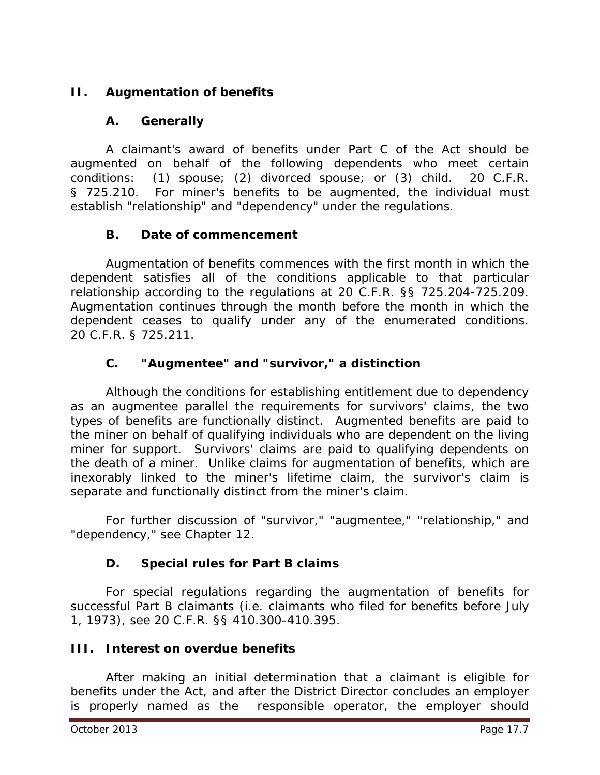# **II. Augmentation of benefits**

## **A. Generally**

A claimant's award of benefits under Part C of the Act should be augmented on behalf of the following dependents who meet certain conditions: (1) spouse; (2) divorced spouse; or (3) child. 20 C.F.R. § 725.210. For miner's benefits to be augmented, the individual must establish "relationship" and "dependency" under the regulations.

#### **B. Date of commencement**

Augmentation of benefits commences with the first month in which the dependent satisfies all of the conditions applicable to that particular relationship according to the regulations at 20 C.F.R. §§ 725.204-725.209. Augmentation continues through the month before the month in which the dependent ceases to qualify under any of the enumerated conditions. 20 C.F.R. § 725.211.

## **C. "Augmentee" and "survivor," a distinction**

Although the conditions for establishing entitlement due to dependency as an augmentee parallel the requirements for survivors' claims, the two types of benefits are functionally distinct. Augmented benefits are paid to the miner on behalf of qualifying individuals who are dependent on the living miner for support. Survivors' claims are paid to qualifying dependents on the death of a miner. Unlike claims for augmentation of benefits, which are inexorably linked to the miner's lifetime claim, the survivor's claim is separate and functionally distinct from the miner's claim.

For further discussion of "survivor," "augmentee," "relationship," and "dependency," *see* Chapter 12.

## **D. Special rules for Part B claims**

For special regulations regarding the augmentation of benefits for successful Part B claimants (*i.e.* claimants who filed for benefits before July 1, 1973), *see* 20 C.F.R. §§ 410.300-410.395.

## **III. Interest on overdue benefits**

After making an initial determination that a claimant is eligible for benefits under the Act, and after the District Director concludes an employer is properly named as the responsible operator, the employer should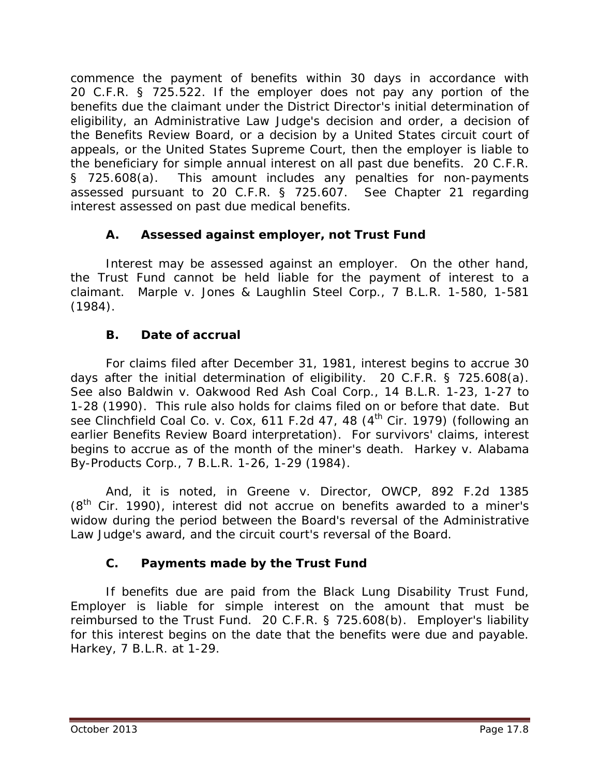commence the payment of benefits within 30 days in accordance with 20 C.F.R. § 725.522. If the employer does not pay any portion of the benefits due the claimant under the District Director's initial determination of eligibility, an Administrative Law Judge's decision and order, a decision of the Benefits Review Board, or a decision by a United States circuit court of appeals, or the United States Supreme Court, then the employer is liable to the beneficiary for simple annual interest on all past due benefits. 20 C.F.R. § 725.608(a). This amount includes any penalties for non-payments assessed pursuant to 20 C.F.R. § 725.607. *See* Chapter 21 regarding interest assessed on past due medical benefits.

# **A. Assessed against employer, not Trust Fund**

Interest may be assessed against an employer. On the other hand, the Trust Fund cannot be held liable for the payment of interest to a claimant. *Marple v. Jones & Laughlin Steel Corp.*, 7 B.L.R. 1-580, 1-581 (1984).

# **B. Date of accrual**

For claims filed after December 31, 1981, interest begins to accrue 30 days after the initial determination of eligibility. 20 C.F.R. § 725.608(a). *See also Baldwin v. Oakwood Red Ash Coal Corp.*, 14 B.L.R. 1-23, 1-27 to 1-28 (1990). This rule also holds for claims filed on or before that date. *But see Clinchfield Coal Co. v. Cox*, 611 F.2d 47, 48 (4th Cir. 1979) (following an earlier Benefits Review Board interpretation). For survivors' claims, interest begins to accrue as of the month of the miner's death. *Harkey v. Alabama By-Products Corp.*, 7 B.L.R. 1-26, 1-29 (1984).

And, it is noted, in *Greene v. Director, OWCP*, 892 F.2d 1385  $(8<sup>th</sup>$  Cir. 1990), interest did not accrue on benefits awarded to a miner's widow during the period between the Board's reversal of the Administrative Law Judge's award, and the circuit court's reversal of the Board.

# **C. Payments made by the Trust Fund**

If benefits due are paid from the Black Lung Disability Trust Fund, Employer is liable for simple interest on the amount that must be reimbursed to the Trust Fund. 20 C.F.R. § 725.608(b). Employer's liability for this interest begins on the date that the benefits were due and payable. *Harkey*, 7 B.L.R. at 1-29.